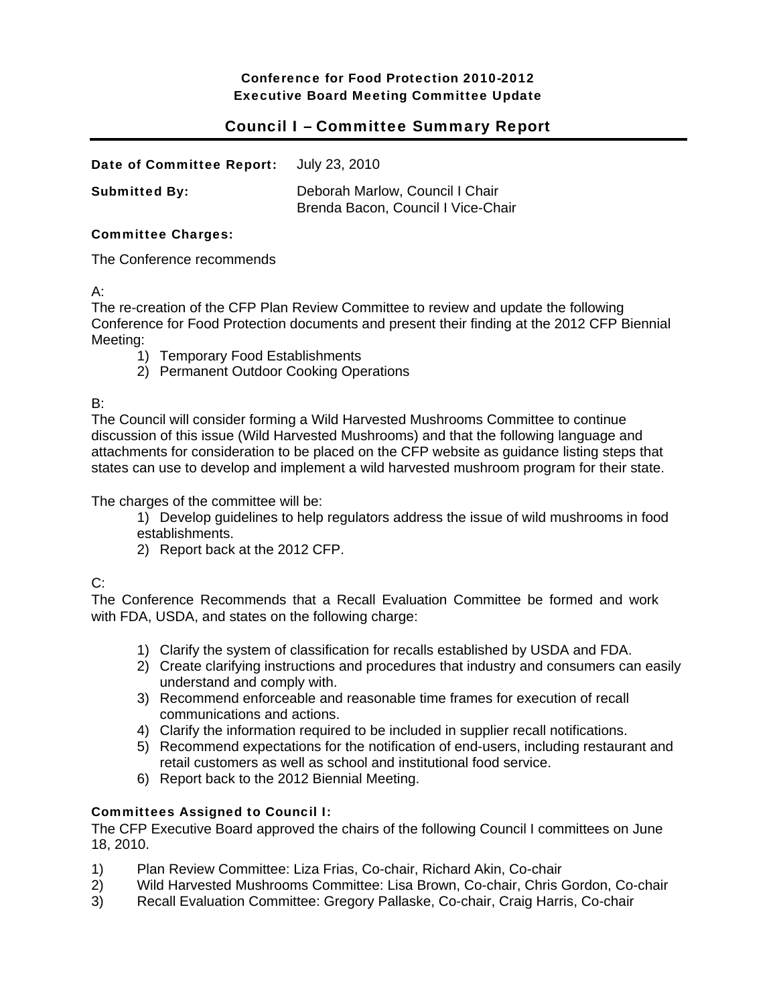# Conference for Food Protection 2010-2012 Executive Board Meeting Committee Update

# Council I – Committee Summary Report

| Date of Committee Report: | July 23, 2010                                                         |
|---------------------------|-----------------------------------------------------------------------|
| <b>Submitted By:</b>      | Deborah Marlow, Council I Chair<br>Brenda Bacon, Council I Vice-Chair |

#### Committee Charges:

The Conference recommends

A:

The re-creation of the CFP Plan Review Committee to review and update the following Conference for Food Protection documents and present their finding at the 2012 CFP Biennial Meeting:

- 1) Temporary Food Establishments
- 2) Permanent Outdoor Cooking Operations

B:

The Council will consider forming a Wild Harvested Mushrooms Committee to continue discussion of this issue (Wild Harvested Mushrooms) and that the following language and attachments for consideration to be placed on the CFP website as guidance listing steps that states can use to develop and implement a wild harvested mushroom program for their state.

The charges of the committee will be:

1) Develop guidelines to help regulators address the issue of wild mushrooms in food establishments.

2) Report back at the 2012 CFP.

 $C:$ 

The Conference Recommends that a Recall Evaluation Committee be formed and work with FDA, USDA, and states on the following charge:

- 1) Clarify the system of classification for recalls established by USDA and FDA.
- 2) Create clarifying instructions and procedures that industry and consumers can easily understand and comply with.
- 3) Recommend enforceable and reasonable time frames for execution of recall communications and actions.
- 4) Clarify the information required to be included in supplier recall notifications.
- 5) Recommend expectations for the notification of end-users, including restaurant and retail customers as well as school and institutional food service.
- 6) Report back to the 2012 Biennial Meeting.

# Committees Assigned to Council I:

The CFP Executive Board approved the chairs of the following Council I committees on June 18, 2010.

- 1) Plan Review Committee: Liza Frias, Co-chair, Richard Akin, Co-chair
- 2) Wild Harvested Mushrooms Committee: Lisa Brown, Co-chair, Chris Gordon, Co-chair
- 3) Recall Evaluation Committee: Gregory Pallaske, Co-chair, Craig Harris, Co-chair